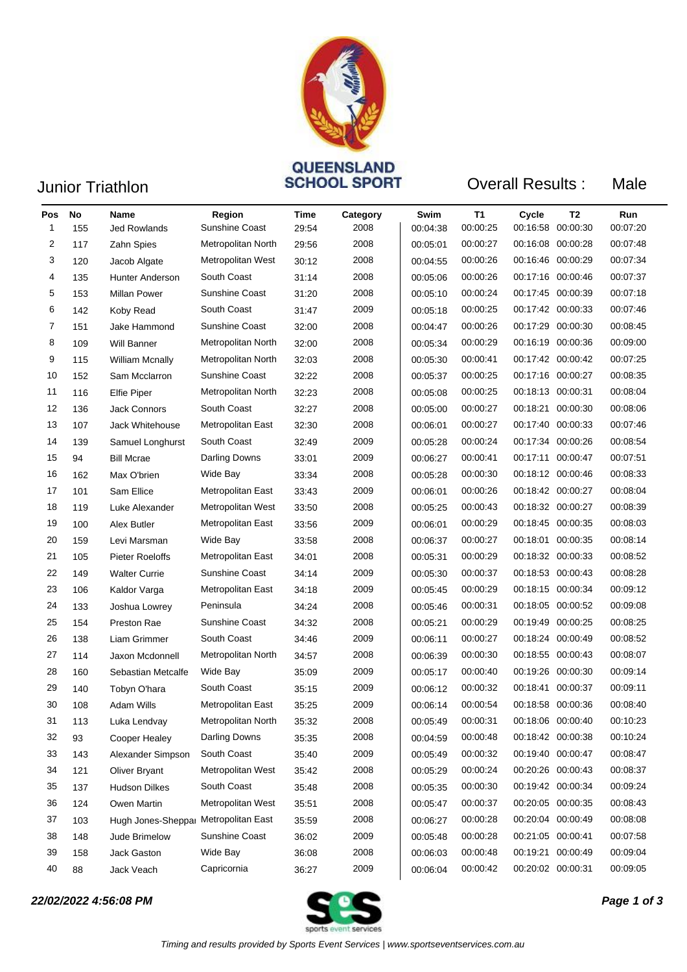

## Junior Triathlon **CONTAINS CONTENSLAND**<br>
SCHOOL SPORT Overall Results :

| u<br>٠.<br>× |  |
|--------------|--|
|--------------|--|

| Pos<br>1 | <b>No</b><br>155 | Name<br>Jed Rowlands                 | Region<br><b>Sunshine Coast</b> | Time<br>29:54 | Category<br>2008 | Swim<br>00:04:38 | <b>T1</b><br>00:00:25 | Cycle<br>00:16:58 | T <sub>2</sub><br>00:00:30 | Run<br>00:07:20 |
|----------|------------------|--------------------------------------|---------------------------------|---------------|------------------|------------------|-----------------------|-------------------|----------------------------|-----------------|
| 2        | 117              | Zahn Spies                           | Metropolitan North              | 29:56         | 2008             | 00:05:01         | 00:00:27              |                   | 00:16:08 00:00:28          | 00:07:48        |
| 3        | 120              | Jacob Algate                         | Metropolitan West               | 30:12         | 2008             | 00:04:55         | 00:00:26              |                   | 00:16:46 00:00:29          | 00:07:34        |
| 4        | 135              | <b>Hunter Anderson</b>               | South Coast                     | 31:14         | 2008             | 00:05:06         | 00:00:26              |                   | 00:17:16 00:00:46          | 00:07:37        |
| 5        | 153              | <b>Millan Power</b>                  | Sunshine Coast                  | 31:20         | 2008             | 00:05:10         | 00:00:24              |                   | 00:17:45 00:00:39          | 00:07:18        |
| 6        | 142              | Koby Read                            | South Coast                     | 31:47         | 2009             | 00:05:18         | 00:00:25              |                   | 00:17:42 00:00:33          | 00:07:46        |
| 7        | 151              | Jake Hammond                         | Sunshine Coast                  | 32:00         | 2008             | 00:04:47         | 00:00:26              |                   | 00:17:29 00:00:30          | 00:08:45        |
| 8        | 109              | <b>Will Banner</b>                   | Metropolitan North              | 32:00         | 2008             | 00:05:34         | 00:00:29              |                   | 00:16:19 00:00:36          | 00:09:00        |
| 9        | 115              | <b>William Mcnally</b>               | Metropolitan North              | 32:03         | 2008             | 00:05:30         | 00:00:41              |                   | 00:17:42 00:00:42          | 00:07:25        |
| 10       | 152              | Sam Mcclarron                        | Sunshine Coast                  | 32:22         | 2008             | 00:05:37         | 00:00:25              |                   | 00:17:16 00:00:27          | 00:08:35        |
| 11       | 116              | <b>Elfie Piper</b>                   | Metropolitan North              | 32:23         | 2008             | 00:05:08         | 00:00:25              |                   | 00:18:13 00:00:31          | 00:08:04        |
| 12       | 136              | <b>Jack Connors</b>                  | South Coast                     | 32:27         | 2008             | 00:05:00         | 00:00:27              |                   | 00:18:21 00:00:30          | 00:08:06        |
| 13       | 107              | <b>Jack Whitehouse</b>               | Metropolitan East               | 32:30         | 2008             | 00:06:01         | 00:00:27              |                   | 00:17:40 00:00:33          | 00:07:46        |
| 14       | 139              | Samuel Longhurst                     | South Coast                     | 32:49         | 2009             | 00:05:28         | 00:00:24              |                   | 00:17:34 00:00:26          | 00:08:54        |
| 15       | 94               | <b>Bill Mcrae</b>                    | Darling Downs                   | 33:01         | 2009             | 00:06:27         | 00:00:41              |                   | 00:17:11 00:00:47          | 00:07:51        |
| 16       | 162              | Max O'brien                          | Wide Bay                        | 33:34         | 2008             | 00:05:28         | 00:00:30              |                   | 00:18:12 00:00:46          | 00:08:33        |
| 17       | 101              | Sam Ellice                           | Metropolitan East               | 33:43         | 2009             | 00:06:01         | 00:00:26              |                   | 00:18:42 00:00:27          | 00:08:04        |
| 18       | 119              | Luke Alexander                       | Metropolitan West               | 33:50         | 2008             | 00:05:25         | 00:00:43              |                   | 00:18:32 00:00:27          | 00:08:39        |
| 19       | 100              | Alex Butler                          | Metropolitan East               | 33:56         | 2009             | 00:06:01         | 00:00:29              |                   | 00:18:45 00:00:35          | 00:08:03        |
| 20       | 159              | Levi Marsman                         | Wide Bay                        | 33:58         | 2008             | 00:06:37         | 00:00:27              |                   | 00:18:01 00:00:35          | 00:08:14        |
| 21       | 105              | <b>Pieter Roeloffs</b>               | Metropolitan East               | 34:01         | 2008             | 00:05:31         | 00:00:29              |                   | 00:18:32 00:00:33          | 00:08:52        |
| 22       | 149              | <b>Walter Currie</b>                 | Sunshine Coast                  | 34:14         | 2009             | 00:05:30         | 00:00:37              |                   | 00:18:53 00:00:43          | 00:08:28        |
| 23       | 106              | Kaldor Varga                         | Metropolitan East               | 34:18         | 2009             | 00:05:45         | 00:00:29              |                   | 00:18:15 00:00:34          | 00:09:12        |
| 24       | 133              | Joshua Lowrey                        | Peninsula                       | 34:24         | 2008             | 00:05:46         | 00:00:31              |                   | 00:18:05 00:00:52          | 00:09:08        |
| 25       | 154              | Preston Rae                          | <b>Sunshine Coast</b>           | 34:32         | 2008             | 00:05:21         | 00:00:29              |                   | 00:19:49 00:00:25          | 00:08:25        |
| 26       | 138              | Liam Grimmer                         | South Coast                     | 34:46         | 2009             | 00:06:11         | 00:00:27              |                   | 00:18:24 00:00:49          | 00:08:52        |
| 27       | 114              | Jaxon Mcdonnell                      | Metropolitan North              | 34:57         | 2008             | 00:06:39         | 00:00:30              |                   | 00:18:55 00:00:43          | 00:08:07        |
| 28       | 160              | Sebastian Metcalfe                   | Wide Bay                        | 35:09         | 2009             | 00:05:17         | 00:00:40              |                   | 00:19:26 00:00:30          | 00:09:14        |
| 29       | 140              | Tobyn O'hara                         | South Coast                     | 35:15         | 2009             | 00:06:12         | 00:00:32              |                   | 00:18:41 00:00:37          | 00:09:11        |
| 30       | 108              | <b>Adam Wills</b>                    | Metropolitan East               | 35:25         | 2009             | 00:06:14         | 00:00:54              |                   | 00:18:58 00:00:36          | 00:08:40        |
| 31       | 113              | Luka Lendvay                         | Metropolitan North              | 35:32         | 2008             | 00:05:49         | 00:00:31              | 00:18:06 00:00:40 |                            | 00:10:23        |
| 32       | 93               | Cooper Healey                        | Darling Downs                   | 35:35         | 2008             | 00:04:59         | 00:00:48              |                   | 00:18:42 00:00:38          | 00:10:24        |
| 33       | 143              | Alexander Simpson                    | South Coast                     | 35:40         | 2009             | 00:05:49         | 00:00:32              |                   | 00:19:40 00:00:47          | 00:08:47        |
| 34       | 121              | Oliver Bryant                        | Metropolitan West               | 35:42         | 2008             | 00:05:29         | 00:00:24              |                   | 00:20:26 00:00:43          | 00:08:37        |
| 35       | 137              | <b>Hudson Dilkes</b>                 | South Coast                     | 35:48         | 2008             | 00:05:35         | 00:00:30              |                   | 00:19:42 00:00:34          | 00:09:24        |
| 36       | 124              | Owen Martin                          | Metropolitan West               | 35:51         | 2008             | 00:05:47         | 00:00:37              |                   | 00:20:05 00:00:35          | 00:08:43        |
| 37       | 103              | Hugh Jones-Sheppar Metropolitan East |                                 | 35:59         | 2008             | 00:06:27         | 00:00:28              |                   | 00:20:04 00:00:49          | 00:08:08        |
| 38       | 148              | Jude Brimelow                        | Sunshine Coast                  | 36:02         | 2009             | 00:05:48         | 00:00:28              | 00:21:05 00:00:41 |                            | 00:07:58        |
| 39       | 158              | Jack Gaston                          | Wide Bay                        | 36:08         | 2008             | 00:06:03         | 00:00:48              |                   | 00:19:21 00:00:49          | 00:09:04        |
| 40       | 88               | Jack Veach                           | Capricornia                     | 36:27         | 2009             | 00:06:04         | 00:00:42              | 00:20:02 00:00:31 |                            | 00:09:05        |

*22/02/2022 4:56:08 PM Page 1 of 3*

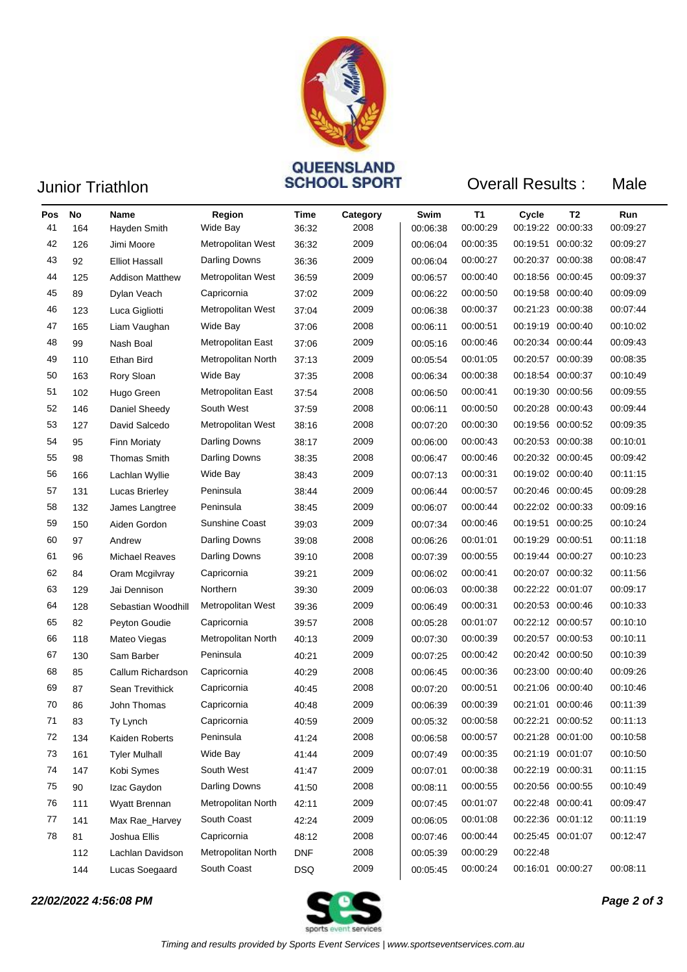

## **GUEENSLAND<br>
Junior Triathlon Connect SCHOOL SPORT** Overall Results :

| u<br>г<br>× |  |
|-------------|--|
|-------------|--|

| Pos | <b>No</b> | Name                   | Region               | Time       | Category | Swim     | <b>T1</b> | Cycle             | T <sub>2</sub>    | Run      |
|-----|-----------|------------------------|----------------------|------------|----------|----------|-----------|-------------------|-------------------|----------|
| 41  | 164       | Hayden Smith           | Wide Bay             | 36:32      | 2008     | 00:06:38 | 00:00:29  |                   | 00:19:22 00:00:33 | 00:09:27 |
| 42  | 126       | Jimi Moore             | Metropolitan West    | 36:32      | 2009     | 00:06:04 | 00:00:35  |                   | 00:19:51 00:00:32 | 00:09:27 |
| 43  | 92        | <b>Elliot Hassall</b>  | Darling Downs        | 36:36      | 2009     | 00:06:04 | 00:00:27  |                   | 00:20:37 00:00:38 | 00:08:47 |
| 44  | 125       | <b>Addison Matthew</b> | Metropolitan West    | 36:59      | 2009     | 00:06:57 | 00:00:40  |                   | 00:18:56 00:00:45 | 00:09:37 |
| 45  | 89        | Dylan Veach            | Capricornia          | 37:02      | 2009     | 00:06:22 | 00:00:50  |                   | 00:19:58 00:00:40 | 00:09:09 |
| 46  | 123       | Luca Gigliotti         | Metropolitan West    | 37:04      | 2009     | 00:06:38 | 00:00:37  |                   | 00:21:23 00:00:38 | 00:07:44 |
| 47  | 165       | Liam Vaughan           | Wide Bay             | 37:06      | 2008     | 00:06:11 | 00:00:51  |                   | 00:19:19 00:00:40 | 00:10:02 |
| 48  | 99        | Nash Boal              | Metropolitan East    | 37:06      | 2009     | 00:05:16 | 00:00:46  |                   | 00:20:34 00:00:44 | 00:09:43 |
| 49  | 110       | Ethan Bird             | Metropolitan North   | 37:13      | 2009     | 00:05:54 | 00:01:05  |                   | 00:20:57 00:00:39 | 00:08:35 |
| 50  | 163       | Rory Sloan             | Wide Bay             | 37:35      | 2008     | 00:06:34 | 00:00:38  |                   | 00:18:54 00:00:37 | 00:10:49 |
| 51  | 102       | Hugo Green             | Metropolitan East    | 37:54      | 2008     | 00:06:50 | 00:00:41  |                   | 00:19:30 00:00:56 | 00:09:55 |
| 52  | 146       | Daniel Sheedy          | South West           | 37:59      | 2008     | 00:06:11 | 00:00:50  |                   | 00:20:28 00:00:43 | 00:09:44 |
| 53  | 127       | David Salcedo          | Metropolitan West    | 38:16      | 2008     | 00:07:20 | 00:00:30  |                   | 00:19:56 00:00:52 | 00:09:35 |
| 54  | 95        | <b>Finn Moriaty</b>    | Darling Downs        | 38:17      | 2009     | 00:06:00 | 00:00:43  |                   | 00:20:53 00:00:38 | 00:10:01 |
| 55  | 98        | <b>Thomas Smith</b>    | Darling Downs        | 38:35      | 2008     | 00:06:47 | 00:00:46  |                   | 00:20:32 00:00:45 | 00:09:42 |
| 56  | 166       | Lachlan Wyllie         | Wide Bay             | 38:43      | 2009     | 00:07:13 | 00:00:31  |                   | 00:19:02 00:00:40 | 00:11:15 |
| 57  | 131       | Lucas Brierley         | Peninsula            | 38:44      | 2009     | 00:06:44 | 00:00:57  |                   | 00:20:46 00:00:45 | 00:09:28 |
| 58  | 132       | James Langtree         | Peninsula            | 38:45      | 2009     | 00:06:07 | 00:00:44  |                   | 00:22:02 00:00:33 | 00:09:16 |
| 59  | 150       | Aiden Gordon           | Sunshine Coast       | 39:03      | 2009     | 00:07:34 | 00:00:46  |                   | 00:19:51 00:00:25 | 00:10:24 |
| 60  | 97        | Andrew                 | Darling Downs        | 39:08      | 2008     | 00:06:26 | 00:01:01  | 00:19:29 00:00:51 |                   | 00:11:18 |
| 61  | 96        | <b>Michael Reaves</b>  | Darling Downs        | 39:10      | 2008     | 00:07:39 | 00:00:55  |                   | 00:19:44 00:00:27 | 00:10:23 |
| 62  | 84        | Oram Mcgilvray         | Capricornia          | 39:21      | 2009     | 00:06:02 | 00:00:41  |                   | 00:20:07 00:00:32 | 00:11:56 |
| 63  | 129       | Jai Dennison           | Northern             | 39:30      | 2009     | 00:06:03 | 00:00:38  |                   | 00:22:22 00:01:07 | 00:09:17 |
| 64  | 128       | Sebastian Woodhill     | Metropolitan West    | 39:36      | 2009     | 00:06:49 | 00:00:31  |                   | 00:20:53 00:00:46 | 00:10:33 |
| 65  | 82        | Peyton Goudie          | Capricornia          | 39:57      | 2008     | 00:05:28 | 00:01:07  |                   | 00:22:12 00:00:57 | 00:10:10 |
| 66  | 118       | Mateo Viegas           | Metropolitan North   | 40:13      | 2009     | 00:07:30 | 00:00:39  |                   | 00:20:57 00:00:53 | 00:10:11 |
| 67  | 130       | Sam Barber             | Peninsula            | 40:21      | 2009     | 00:07:25 | 00:00:42  |                   | 00:20:42 00:00:50 | 00:10:39 |
| 68  | 85        | Callum Richardson      | Capricornia          | 40:29      | 2008     | 00:06:45 | 00:00:36  |                   | 00:23:00 00:00:40 | 00:09:26 |
| 69  | 87        | Sean Trevithick        | Capricornia          | 40:45      | 2008     | 00:07:20 | 00:00:51  |                   | 00:21:06 00:00:40 | 00:10:46 |
| 70  | 86        | John Thomas            | Capricornia          | 40:48      | 2009     | 00:06:39 | 00:00:39  |                   | 00:21:01 00:00:46 | 00:11:39 |
| 71  | 83        | Ty Lynch               | Capricornia          | 40:59      | 2009     | 00:05:32 | 00:00:58  |                   | 00:22:21 00:00:52 | 00:11:13 |
| 72  | 134       | Kaiden Roberts         | Peninsula            | 41:24      | 2008     | 00:06:58 | 00:00:57  |                   | 00:21:28 00:01:00 | 00:10:58 |
| 73  | 161       | <b>Tyler Mulhall</b>   | Wide Bay             | 41:44      | 2009     | 00:07:49 | 00:00:35  |                   | 00:21:19 00:01:07 | 00:10:50 |
| 74  | 147       | Kobi Symes             | South West           | 41:47      | 2009     | 00:07:01 | 00:00:38  |                   | 00:22:19 00:00:31 | 00:11:15 |
| 75  | 90        | Izac Gaydon            | <b>Darling Downs</b> | 41:50      | 2008     | 00:08:11 | 00:00:55  |                   | 00:20:56 00:00:55 | 00:10:49 |
| 76  | 111       | Wyatt Brennan          | Metropolitan North   | 42:11      | 2009     | 00:07:45 | 00:01:07  | 00:22:48 00:00:41 |                   | 00:09:47 |
| 77  | 141       | Max Rae_Harvey         | South Coast          | 42:24      | 2009     | 00:06:05 | 00:01:08  |                   | 00:22:36 00:01:12 | 00:11:19 |
| 78  | 81        | Joshua Ellis           | Capricornia          | 48:12      | 2008     | 00:07:46 | 00:00:44  |                   | 00:25:45 00:01:07 | 00:12:47 |
|     | 112       | Lachlan Davidson       | Metropolitan North   | <b>DNF</b> | 2008     | 00:05:39 | 00:00:29  | 00:22:48          |                   |          |
|     | 144       | Lucas Soegaard         | South Coast          | <b>DSQ</b> | 2009     | 00:05:45 | 00:00:24  |                   | 00:16:01 00:00:27 | 00:08:11 |

*22/02/2022 4:56:08 PM Page 2 of 3*

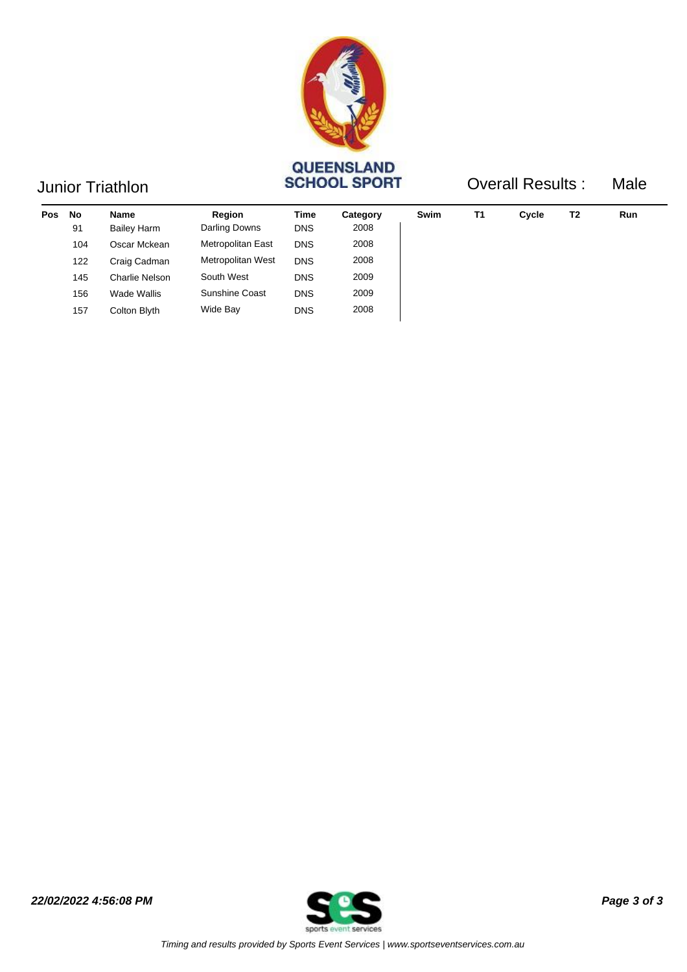

## Junior Triathlon **CONSTRAING CONSTRAINS SCHOOL SPORT**

Overall Results : Male

*22/02/2022 4:56:08 PM Page 3 of 3*

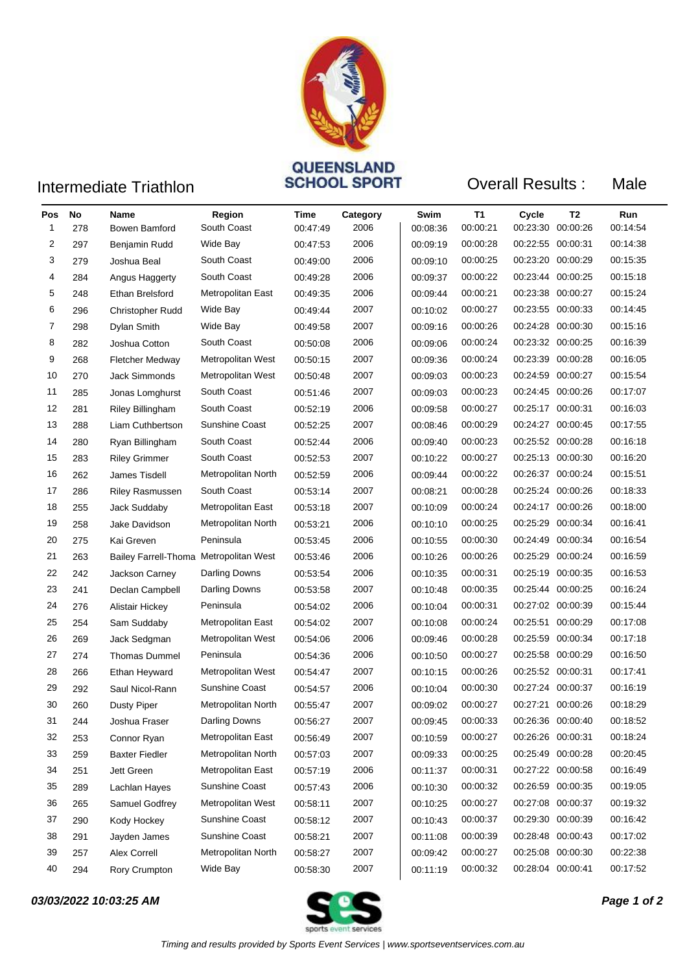

## **Intermediate Triathlon COVEENSLAND**<br>**SCHOOL SPORT**

Overall Results : Male

| Pos | No  | Name                                   | Region                | Time     | Category | Swim     | T1       | Cycle             | T <sub>2</sub>    | Run      |
|-----|-----|----------------------------------------|-----------------------|----------|----------|----------|----------|-------------------|-------------------|----------|
| 1   | 278 | Bowen Bamford                          | South Coast           | 00:47:49 | 2006     | 00:08:36 | 00:00:21 | 00:23:30 00:00:26 |                   | 00:14:54 |
| 2   | 297 | Benjamin Rudd                          | Wide Bay              | 00:47:53 | 2006     | 00:09:19 | 00:00:28 | 00:22:55 00:00:31 |                   | 00:14:38 |
| 3   | 279 | Joshua Beal                            | South Coast           | 00:49:00 | 2006     | 00:09:10 | 00:00:25 | 00:23:20 00:00:29 |                   | 00:15:35 |
| 4   | 284 | Angus Haggerty                         | South Coast           | 00:49:28 | 2006     | 00:09:37 | 00:00:22 | 00:23:44 00:00:25 |                   | 00:15:18 |
| 5   | 248 | Ethan Brelsford                        | Metropolitan East     | 00:49:35 | 2006     | 00:09:44 | 00:00:21 | 00:23:38 00:00:27 |                   | 00:15:24 |
| 6   | 296 | <b>Christopher Rudd</b>                | Wide Bay              | 00:49:44 | 2007     | 00:10:02 | 00:00:27 | 00:23:55 00:00:33 |                   | 00:14:45 |
| 7   | 298 | Dylan Smith                            | Wide Bay              | 00:49:58 | 2007     | 00:09:16 | 00:00:26 | 00:24:28 00:00:30 |                   | 00:15:16 |
| 8   | 282 | Joshua Cotton                          | South Coast           | 00:50:08 | 2006     | 00:09:06 | 00:00:24 | 00:23:32 00:00:25 |                   | 00:16:39 |
| 9   | 268 | <b>Fletcher Medway</b>                 | Metropolitan West     | 00:50:15 | 2007     | 00:09:36 | 00:00:24 | 00:23:39 00:00:28 |                   | 00:16:05 |
| 10  | 270 | <b>Jack Simmonds</b>                   | Metropolitan West     | 00:50:48 | 2007     | 00:09:03 | 00:00:23 | 00:24:59 00:00:27 |                   | 00:15:54 |
| 11  | 285 | Jonas Lomghurst                        | South Coast           | 00:51:46 | 2007     | 00:09:03 | 00:00:23 | 00:24:45 00:00:26 |                   | 00:17:07 |
| 12  | 281 | <b>Riley Billingham</b>                | South Coast           | 00:52:19 | 2006     | 00:09:58 | 00:00:27 | 00:25:17 00:00:31 |                   | 00:16:03 |
| 13  | 288 | Liam Cuthbertson                       | <b>Sunshine Coast</b> | 00:52:25 | 2007     | 00:08:46 | 00:00:29 | 00:24:27 00:00:45 |                   | 00:17:55 |
| 14  | 280 | Ryan Billingham                        | South Coast           | 00:52:44 | 2006     | 00:09:40 | 00:00:23 | 00:25:52 00:00:28 |                   | 00:16:18 |
| 15  | 283 | <b>Riley Grimmer</b>                   | South Coast           | 00:52:53 | 2007     | 00:10:22 | 00:00:27 |                   | 00:25:13 00:00:30 | 00:16:20 |
| 16  | 262 | James Tisdell                          | Metropolitan North    | 00.52.59 | 2006     | 00:09:44 | 00:00:22 | 00:26:37 00:00:24 |                   | 00:15:51 |
| 17  | 286 | <b>Riley Rasmussen</b>                 | South Coast           | 00:53:14 | 2007     | 00:08:21 | 00:00:28 | 00:25:24 00:00:26 |                   | 00:18:33 |
| 18  | 255 | Jack Suddaby                           | Metropolitan East     | 00:53:18 | 2007     | 00:10:09 | 00:00:24 | 00:24:17 00:00:26 |                   | 00:18:00 |
| 19  | 258 | Jake Davidson                          | Metropolitan North    | 00:53:21 | 2006     | 00:10:10 | 00:00:25 | 00:25:29 00:00:34 |                   | 00:16:41 |
| 20  | 275 | Kai Greven                             | Peninsula             | 00:53:45 | 2006     | 00:10:55 | 00:00:30 | 00:24:49 00:00:34 |                   | 00:16:54 |
| 21  | 263 | Bailey Farrell-Thoma Metropolitan West |                       | 00:53:46 | 2006     | 00:10:26 | 00:00:26 | 00:25:29 00:00:24 |                   | 00:16:59 |
| 22  | 242 | Jackson Carney                         | Darling Downs         | 00:53:54 | 2006     | 00:10:35 | 00:00:31 | 00:25:19 00:00:35 |                   | 00:16:53 |
| 23  | 241 | Declan Campbell                        | Darling Downs         | 00:53:58 | 2007     | 00:10:48 | 00:00:35 |                   | 00:25:44 00:00:25 | 00:16:24 |
| 24  | 276 | <b>Alistair Hickey</b>                 | Peninsula             | 00:54:02 | 2006     | 00:10:04 | 00:00:31 | 00:27:02 00:00:39 |                   | 00:15:44 |
| 25  | 254 | Sam Suddaby                            | Metropolitan East     | 00:54:02 | 2007     | 00:10:08 | 00:00:24 | 00:25:51 00:00:29 |                   | 00:17:08 |
| 26  | 269 | Jack Sedgman                           | Metropolitan West     | 00:54:06 | 2006     | 00:09:46 | 00:00:28 | 00:25:59 00:00:34 |                   | 00:17:18 |
| 27  | 274 | <b>Thomas Dummel</b>                   | Peninsula             | 00:54:36 | 2006     | 00:10:50 | 00:00:27 | 00:25:58 00:00:29 |                   | 00:16:50 |
| 28  | 266 | Ethan Heyward                          | Metropolitan West     | 00:54:47 | 2007     | 00:10:15 | 00:00:26 | 00:25:52 00:00:31 |                   | 00:17:41 |
| 29  | 292 | Saul Nicol-Rann                        | <b>Sunshine Coast</b> | 00:54:57 | 2006     | 00:10:04 | 00:00:30 | 00:27:24 00:00:37 |                   | 00:16:19 |
| 30  | 260 | <b>Dusty Piper</b>                     | Metropolitan North    | 00:55:47 | 2007     | 00:09:02 | 00:00:27 | 00:27:21 00:00:26 |                   | 00:18:29 |
| 31  | 244 | Joshua Fraser                          | Darling Downs         | 00:56:27 | 2007     | 00:09:45 | 00:00:33 |                   | 00:26:36 00:00:40 | 00:18:52 |
| 32  | 253 | Connor Ryan                            | Metropolitan East     | 00:56:49 | 2007     | 00:10:59 | 00:00:27 | 00:26:26 00:00:31 |                   | 00:18:24 |
| 33  | 259 | <b>Baxter Fiedler</b>                  | Metropolitan North    | 00:57:03 | 2007     | 00:09:33 | 00:00:25 | 00:25:49 00:00:28 |                   | 00:20:45 |
| 34  | 251 | Jett Green                             | Metropolitan East     | 00:57:19 | 2006     | 00:11:37 | 00:00:31 | 00:27:22 00:00:58 |                   | 00:16:49 |
| 35  | 289 | Lachlan Hayes                          | Sunshine Coast        | 00:57:43 | 2006     | 00:10:30 | 00:00:32 | 00:26:59 00:00:35 |                   | 00:19:05 |
| 36  | 265 | Samuel Godfrey                         | Metropolitan West     | 00:58:11 | 2007     | 00:10:25 | 00:00:27 | 00:27:08 00:00:37 |                   | 00:19:32 |
| 37  | 290 | Kody Hockey                            | Sunshine Coast        | 00:58:12 | 2007     | 00:10:43 | 00:00:37 | 00:29:30 00:00:39 |                   | 00:16:42 |
| 38  | 291 | Jayden James                           | Sunshine Coast        | 00:58:21 | 2007     | 00:11:08 | 00:00:39 | 00:28:48 00:00:43 |                   | 00:17:02 |
| 39  | 257 | Alex Correll                           | Metropolitan North    | 00:58:27 | 2007     | 00:09:42 | 00:00:27 | 00:25:08 00:00:30 |                   | 00:22:38 |
| 40  | 294 | Rory Crumpton                          | Wide Bay              | 00:58:30 | 2007     | 00:11:19 | 00:00:32 | 00:28:04 00:00:41 |                   | 00:17:52 |

### *03/03/2022 10:03:25 AM Page 1 of 2*

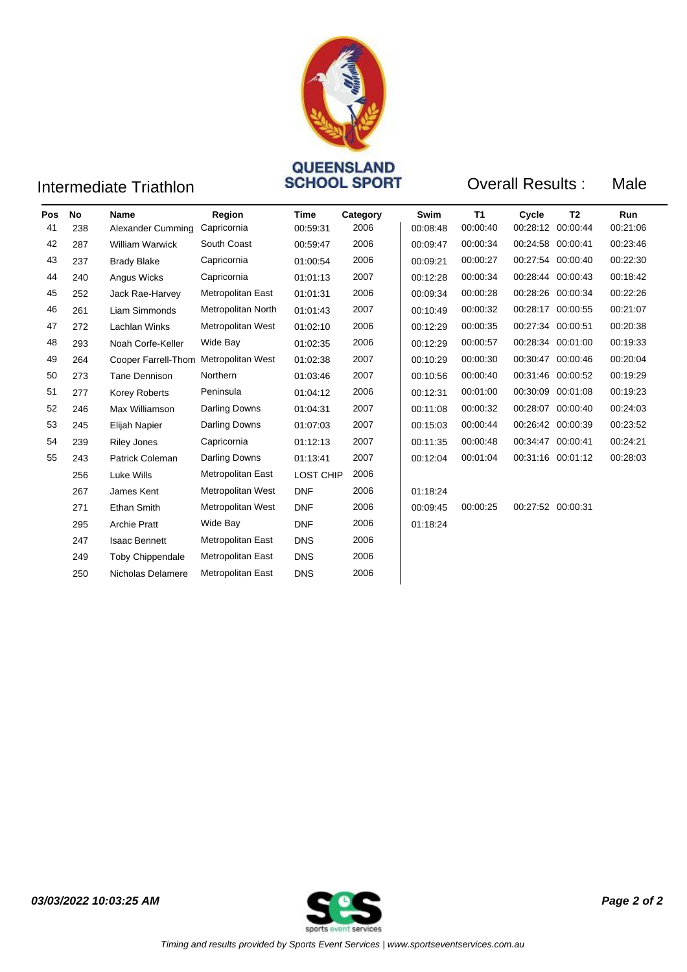

## **Intermediate Triathlon COVEENSLAND**<br>**SCHOOL SPORT**

**Overall Results: Male** 

| Pos | No  | <b>Name</b>                           | Region                   | <b>Time</b> | Category | Swim     | <b>T1</b> | Cycle             | T <sub>2</sub> | <b>Run</b> |
|-----|-----|---------------------------------------|--------------------------|-------------|----------|----------|-----------|-------------------|----------------|------------|
| 41  | 238 | Alexander Cumming                     | Capricornia              | 00:59:31    | 2006     | 00:08:48 | 00:00:40  | 00:28:12 00:00:44 |                | 00:21:06   |
| 42  | 287 | <b>William Warwick</b>                | South Coast              | 00:59:47    | 2006     | 00:09:47 | 00:00:34  | 00:24:58 00:00:41 |                | 00:23:46   |
| 43  | 237 | <b>Brady Blake</b>                    | Capricornia              | 01:00:54    | 2006     | 00:09:21 | 00:00:27  | 00:27:54 00:00:40 |                | 00:22:30   |
| 44  | 240 | Angus Wicks                           | Capricornia              | 01:01:13    | 2007     | 00:12:28 | 00:00:34  | 00:28:44 00:00:43 |                | 00:18:42   |
| 45  | 252 | Jack Rae-Harvey                       | <b>Metropolitan East</b> | 01:01:31    | 2006     | 00:09:34 | 00:00:28  | 00:28:26 00:00:34 |                | 00:22:26   |
| 46  | 261 | Liam Simmonds                         | Metropolitan North       | 01:01:43    | 2007     | 00:10:49 | 00:00:32  | 00:28:17 00:00:55 |                | 00:21:07   |
| 47  | 272 | Lachlan Winks                         | Metropolitan West        | 01:02:10    | 2006     | 00:12:29 | 00:00:35  | 00:27:34 00:00:51 |                | 00:20:38   |
| 48  | 293 | Noah Corfe-Keller                     | Wide Bay                 | 01:02:35    | 2006     | 00:12:29 | 00:00:57  | 00:28:34 00:01:00 |                | 00:19:33   |
| 49  | 264 | Cooper Farrell-Thom Metropolitan West |                          | 01:02:38    | 2007     | 00:10:29 | 00:00:30  | 00:30:47 00:00:46 |                | 00:20:04   |
| 50  | 273 | <b>Tane Dennison</b>                  | Northern                 | 01:03:46    | 2007     | 00:10:56 | 00:00:40  | 00:31:46 00:00:52 |                | 00:19:29   |
| 51  | 277 | Korey Roberts                         | Peninsula                | 01:04:12    | 2006     | 00:12:31 | 00:01:00  | 00:30:09 00:01:08 |                | 00:19:23   |
| 52  | 246 | Max Williamson                        | Darling Downs            | 01:04:31    | 2007     | 00:11:08 | 00:00:32  | 00:28:07          | 00:00:40       | 00:24:03   |
| 53  | 245 | Elijah Napier                         | Darling Downs            | 01:07:03    | 2007     | 00:15:03 | 00:00:44  | 00:26:42 00:00:39 |                | 00:23:52   |
| 54  | 239 | <b>Riley Jones</b>                    | Capricornia              | 01:12:13    | 2007     | 00:11:35 | 00:00:48  | 00:34:47 00:00:41 |                | 00:24:21   |
| 55  | 243 | Patrick Coleman                       | <b>Darling Downs</b>     | 01:13:41    | 2007     | 00:12:04 | 00:01:04  | 00:31:16 00:01:12 |                | 00:28:03   |
|     | 256 | Luke Wills                            | Metropolitan East        | LOST CHIP   | 2006     |          |           |                   |                |            |
|     | 267 | James Kent                            | Metropolitan West        | <b>DNF</b>  | 2006     | 01:18:24 |           |                   |                |            |
|     | 271 | <b>Ethan Smith</b>                    | Metropolitan West        | <b>DNF</b>  | 2006     | 00:09:45 | 00:00:25  | 00:27:52 00:00:31 |                |            |
|     | 295 | <b>Archie Pratt</b>                   | Wide Bay                 | <b>DNF</b>  | 2006     | 01:18:24 |           |                   |                |            |
|     | 247 | <b>Isaac Bennett</b>                  | <b>Metropolitan East</b> | <b>DNS</b>  | 2006     |          |           |                   |                |            |
|     | 249 | Toby Chippendale                      | <b>Metropolitan East</b> | <b>DNS</b>  | 2006     |          |           |                   |                |            |
|     | 250 | Nicholas Delamere                     | <b>Metropolitan East</b> | <b>DNS</b>  | 2006     |          |           |                   |                |            |

*03/03/2022 10:03:25 AM Page 2 of 2*

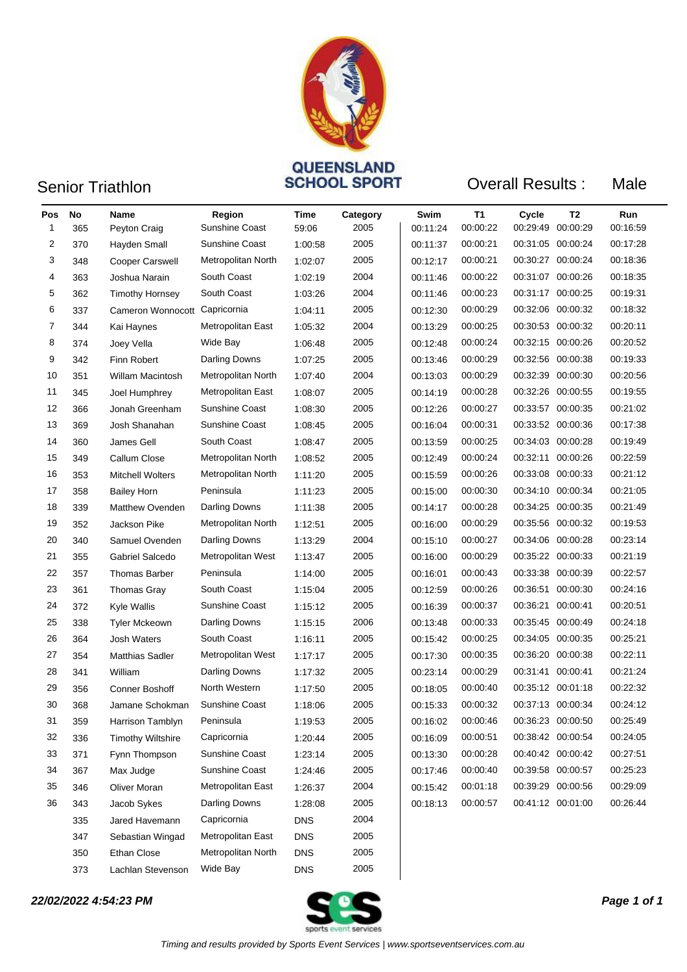

### Senior Triathlon **CONSTRAINS**<br>
SCHOOL SPORT

Overall Results : Male

| Pos | <b>No</b> | Name                          | Region                | Time       | Category | Swim     | <b>T1</b> | Cycle | T <sub>2</sub>    | Run      |
|-----|-----------|-------------------------------|-----------------------|------------|----------|----------|-----------|-------|-------------------|----------|
| 1   | 365       | Peyton Craig                  | Sunshine Coast        | 59:06      | 2005     | 00:11:24 | 00:00:22  |       | 00:29:49 00:00:29 | 00:16:59 |
| 2   | 370       | Hayden Small                  | <b>Sunshine Coast</b> | 1:00:58    | 2005     | 00:11:37 | 00:00:21  |       | 00:31:05 00:00:24 | 00:17:28 |
| 3   | 348       | <b>Cooper Carswell</b>        | Metropolitan North    | 1:02:07    | 2005     | 00:12:17 | 00:00:21  |       | 00:30:27 00:00:24 | 00:18:36 |
| 4   | 363       | Joshua Narain                 | South Coast           | 1:02:19    | 2004     | 00:11:46 | 00:00:22  |       | 00:31:07 00:00:26 | 00:18:35 |
| 5   | 362       | <b>Timothy Hornsey</b>        | South Coast           | 1:03:26    | 2004     | 00:11:46 | 00:00:23  |       | 00:31:17 00:00:25 | 00:19:31 |
| 6   | 337       | Cameron Wonnocott Capricornia |                       | 1:04:11    | 2005     | 00:12:30 | 00:00:29  |       | 00:32:06 00:00:32 | 00:18:32 |
| 7   | 344       | Kai Haynes                    | Metropolitan East     | 1:05:32    | 2004     | 00:13:29 | 00:00:25  |       | 00:30:53 00:00:32 | 00:20:11 |
| 8   | 374       | Joey Vella                    | Wide Bay              | 1:06:48    | 2005     | 00:12:48 | 00:00:24  |       | 00:32:15 00:00:26 | 00:20:52 |
| 9   | 342       | Finn Robert                   | Darling Downs         | 1:07:25    | 2005     | 00:13:46 | 00:00:29  |       | 00:32:56 00:00:38 | 00:19:33 |
| 10  | 351       | Willam Macintosh              | Metropolitan North    | 1:07:40    | 2004     | 00:13:03 | 00:00:29  |       | 00:32:39 00:00:30 | 00:20:56 |
| 11  | 345       | Joel Humphrey                 | Metropolitan East     | 1:08:07    | 2005     | 00:14:19 | 00:00:28  |       | 00:32:26 00:00:55 | 00:19:55 |
| 12  | 366       | Jonah Greenham                | <b>Sunshine Coast</b> | 1:08:30    | 2005     | 00:12:26 | 00:00:27  |       | 00:33:57 00:00:35 | 00:21:02 |
| 13  | 369       | Josh Shanahan                 | <b>Sunshine Coast</b> | 1:08:45    | 2005     | 00:16:04 | 00:00:31  |       | 00:33:52 00:00:36 | 00:17:38 |
| 14  | 360       | James Gell                    | South Coast           | 1:08:47    | 2005     | 00:13:59 | 00:00:25  |       | 00:34:03 00:00:28 | 00:19:49 |
| 15  | 349       | Callum Close                  | Metropolitan North    | 1:08:52    | 2005     | 00:12:49 | 00:00:24  |       | 00:32:11 00:00:26 | 00:22:59 |
| 16  | 353       | <b>Mitchell Wolters</b>       | Metropolitan North    | 1:11:20    | 2005     | 00:15:59 | 00:00:26  |       | 00:33:08 00:00:33 | 00:21:12 |
| 17  | 358       | <b>Bailey Horn</b>            | Peninsula             | 1:11:23    | 2005     | 00:15:00 | 00:00:30  |       | 00:34:10 00:00:34 | 00:21:05 |
| 18  | 339       | <b>Matthew Ovenden</b>        | Darling Downs         | 1:11:38    | 2005     | 00:14:17 | 00:00:28  |       | 00:34:25 00:00:35 | 00:21:49 |
| 19  | 352       | Jackson Pike                  | Metropolitan North    | 1:12:51    | 2005     | 00:16:00 | 00:00:29  |       | 00:35:56 00:00:32 | 00:19:53 |
| 20  | 340       | Samuel Ovenden                | Darling Downs         | 1:13:29    | 2004     | 00:15:10 | 00:00:27  |       | 00:34:06 00:00:28 | 00:23:14 |
| 21  | 355       | Gabriel Salcedo               | Metropolitan West     | 1:13:47    | 2005     | 00:16:00 | 00:00:29  |       | 00:35:22 00:00:33 | 00:21:19 |
| 22  | 357       | <b>Thomas Barber</b>          | Peninsula             | 1:14:00    | 2005     | 00:16:01 | 00:00:43  |       | 00:33:38 00:00:39 | 00:22:57 |
| 23  | 361       | <b>Thomas Gray</b>            | South Coast           | 1:15:04    | 2005     | 00:12:59 | 00:00:26  |       | 00:36:51 00:00:30 | 00:24:16 |
| 24  | 372       | Kyle Wallis                   | Sunshine Coast        | 1:15:12    | 2005     | 00:16:39 | 00:00:37  |       | 00:36:21 00:00:41 | 00:20:51 |
| 25  | 338       | Tyler Mckeown                 | Darling Downs         | 1:15:15    | 2006     | 00:13:48 | 00:00:33  |       | 00:35:45 00:00:49 | 00:24:18 |
| 26  | 364       | <b>Josh Waters</b>            | South Coast           | 1:16:11    | 2005     | 00:15:42 | 00:00:25  |       | 00:34:05 00:00:35 | 00:25:21 |
| 27  | 354       | Matthias Sadler               | Metropolitan West     | 1:17:17    | 2005     | 00:17:30 | 00:00:35  |       | 00:36:20 00:00:38 | 00:22:11 |
| 28  | 341       | William                       | Darling Downs         | 1:17:32    | 2005     | 00:23:14 | 00:00:29  |       | 00:31:41 00:00:41 | 00:21:24 |
| 29  | 356       | <b>Conner Boshoff</b>         | North Western         | 1:17:50    | 2005     | 00:18:05 | 00:00:40  |       | 00:35:12 00:01:18 | 00:22:32 |
| 30  | 368       | Jamane Schokman               | Sunshine Coast        | 1:18:06    | 2005     | 00:15:33 | 00:00:32  |       | 00:37:13 00:00:34 | 00:24:12 |
| 31  | 359       | Harrison Tamblyn              | Peninsula             | 1:19:53    | 2005     | 00:16:02 | 00:00:46  |       | 00:36:23 00:00:50 | 00:25:49 |
| 32  | 336       | <b>Timothy Wiltshire</b>      | Capricornia           | 1:20:44    | 2005     | 00:16:09 | 00:00:51  |       | 00:38:42 00:00:54 | 00:24:05 |
| 33  | 371       | Fynn Thompson                 | Sunshine Coast        | 1.23.14    | 2005     | 00:13:30 | 00:00:28  |       | 00:40:42 00:00:42 | 00:27:51 |
| 34  | 367       | Max Judge                     | Sunshine Coast        | 1:24:46    | 2005     | 00:17:46 | 00:00:40  |       | 00:39:58 00:00:57 | 00:25:23 |
| 35  | 346       | Oliver Moran                  | Metropolitan East     | 1:26:37    | 2004     | 00:15:42 | 00:01:18  |       | 00:39:29 00:00:56 | 00:29:09 |
| 36  | 343       | Jacob Sykes                   | Darling Downs         | 1:28:08    | 2005     | 00:18:13 | 00:00:57  |       | 00:41:12 00:01:00 | 00:26:44 |
|     | 335       | Jared Havemann                | Capricornia           | <b>DNS</b> | 2004     |          |           |       |                   |          |
|     | 347       | Sebastian Wingad              | Metropolitan East     | <b>DNS</b> | 2005     |          |           |       |                   |          |
|     | 350       | Ethan Close                   | Metropolitan North    | <b>DNS</b> | 2005     |          |           |       |                   |          |
|     | 373       | Lachlan Stevenson             | Wide Bay              | <b>DNS</b> | 2005     |          |           |       |                   |          |

*22/02/2022 4:54:23 PM Page 1 of 1*

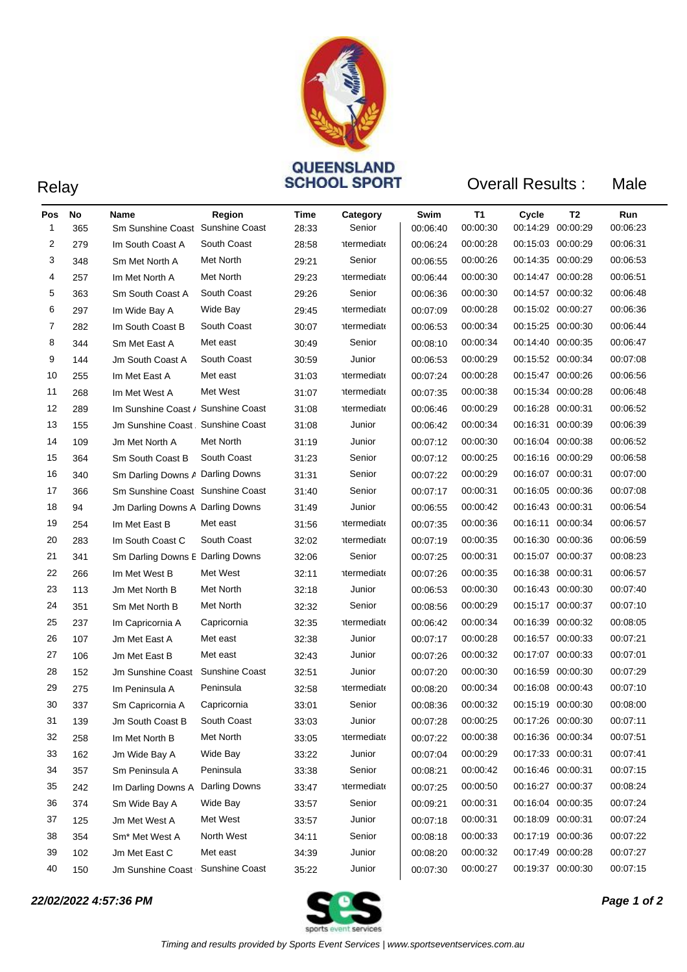

# **QUEENSLAND<br>
SCHOOL SPORT** Overall Results :

Male

| Pos | No  | Name                               | Region               | Time  | Category           | Swim     | T1       | Cycle             | T2 | Run      |
|-----|-----|------------------------------------|----------------------|-------|--------------------|----------|----------|-------------------|----|----------|
| 1   | 365 | Sm Sunshine Coast Sunshine Coast   |                      | 28:33 | Senior             | 00:06:40 | 00:00:30 | 00:14:29 00:00:29 |    | 00:06:23 |
| 2   | 279 | Im South Coast A                   | South Coast          | 28:58 | termediato         | 00:06:24 | 00:00:28 | 00:15:03 00:00:29 |    | 00:06:31 |
| 3   | 348 | Sm Met North A                     | Met North            | 29:21 | Senior             | 00:06:55 | 00:00:26 | 00:14:35 00:00:29 |    | 00:06:53 |
| 4   | 257 | Im Met North A                     | Met North            | 29:23 | <b>htermediate</b> | 00:06:44 | 00:00:30 | 00:14:47 00:00:28 |    | 00:06:51 |
| 5   | 363 | Sm South Coast A                   | South Coast          | 29:26 | Senior             | 00:06:36 | 00:00:30 | 00:14:57 00:00:32 |    | 00:06:48 |
| 6   | 297 | Im Wide Bay A                      | Wide Bay             | 29:45 | <b>htermediate</b> | 00:07:09 | 00:00:28 | 00:15:02 00:00:27 |    | 00:06:36 |
| 7   | 282 | Im South Coast B                   | South Coast          | 30:07 | termediato         | 00:06:53 | 00:00:34 | 00:15:25 00:00:30 |    | 00:06:44 |
| 8   | 344 | Sm Met East A                      | Met east             | 30:49 | Senior             | 00:08:10 | 00:00:34 | 00:14:40 00:00:35 |    | 00:06:47 |
| 9   | 144 | <b>Jm South Coast A</b>            | South Coast          | 30:59 | Junior             | 00:06:53 | 00:00:29 | 00:15:52 00:00:34 |    | 00:07:08 |
| 10  | 255 | Im Met East A                      | Met east             | 31:03 | <b>htermediate</b> | 00:07:24 | 00:00:28 | 00:15:47 00:00:26 |    | 00:06:56 |
| 11  | 268 | Im Met West A                      | Met West             | 31:07 | termediate         | 00:07:35 | 00:00:38 | 00:15:34 00:00:28 |    | 00:06:48 |
| 12  | 289 | Im Sunshine Coast / Sunshine Coast |                      | 31:08 | <b>htermediate</b> | 00:06:46 | 00:00:29 | 00:16:28 00:00:31 |    | 00:06:52 |
| 13  | 155 | Jm Sunshine Coast, Sunshine Coast  |                      | 31:08 | Junior             | 00:06:42 | 00:00:34 | 00:16:31 00:00:39 |    | 00:06:39 |
| 14  | 109 | Jm Met North A                     | Met North            | 31:19 | Junior             | 00:07:12 | 00:00:30 | 00:16:04 00:00:38 |    | 00:06:52 |
| 15  | 364 | Sm South Coast B                   | South Coast          | 31:23 | Senior             | 00:07:12 | 00:00:25 | 00:16:16 00:00:29 |    | 00:06:58 |
| 16  | 340 | Sm Darling Downs A Darling Downs   |                      | 31:31 | Senior             | 00:07:22 | 00:00:29 | 00:16:07 00:00:31 |    | 00:07:00 |
| 17  | 366 | Sm Sunshine Coast Sunshine Coast   |                      | 31:40 | Senior             | 00:07:17 | 00:00:31 | 00:16:05 00:00:36 |    | 00:07:08 |
| 18  | 94  | Jm Darling Downs A Darling Downs   |                      | 31:49 | Junior             | 00:06:55 | 00:00:42 | 00:16:43 00:00:31 |    | 00:06:54 |
| 19  | 254 | Im Met East B                      | Met east             | 31:56 | termediate         | 00:07:35 | 00:00:36 | 00:16:11 00:00:34 |    | 00:06:57 |
| 20  | 283 | Im South Coast C                   | South Coast          | 32:02 | <b>htermediate</b> | 00:07:19 | 00:00:35 | 00:16:30 00:00:36 |    | 00:06:59 |
| 21  | 341 | Sm Darling Downs E Darling Downs   |                      | 32:06 | Senior             | 00:07:25 | 00:00:31 | 00:15:07 00:00:37 |    | 00:08:23 |
| 22  | 266 | Im Met West B                      | Met West             | 32:11 | <b>htermediate</b> | 00:07:26 | 00:00:35 | 00:16:38 00:00:31 |    | 00:06:57 |
| 23  | 113 | Jm Met North B                     | Met North            | 32:18 | Junior             | 00:06:53 | 00:00:30 | 00:16:43 00:00:30 |    | 00:07:40 |
| 24  | 351 | Sm Met North B                     | Met North            | 32:32 | Senior             | 00:08:56 | 00:00:29 | 00:15:17 00:00:37 |    | 00:07:10 |
| 25  | 237 | Im Capricornia A                   | Capricornia          | 32:35 | <b>htermediate</b> | 00:06:42 | 00:00:34 | 00:16:39 00:00:32 |    | 00:08:05 |
| 26  | 107 | Jm Met East A                      | Met east             | 32:38 | Junior             | 00:07:17 | 00:00:28 | 00:16:57 00:00:33 |    | 00:07:21 |
| 27  | 106 | Jm Met East B                      | Met east             | 32:43 | Junior             | 00:07:26 | 00:00:32 | 00:17:07 00:00:33 |    | 00:07:01 |
| 28  | 152 | Jm Sunshine Coast   Sunshine Coast |                      | 32:51 | Junior             | 00:07:20 | 00:00:30 | 00:16:59 00:00:30 |    | 00:07:29 |
| 29  | 275 | Im Peninsula A                     | Peninsula            | 32:58 | termediate         | 00:08:20 | 00:00:34 | 00:16:08 00:00:43 |    | 00:07:10 |
| 30  | 337 | Sm Capricornia A                   | Capricornia          | 33:01 | Senior             | 00:08:36 | 00:00:32 | 00:15:19 00:00:30 |    | 00:08:00 |
| 31  | 139 | Jm South Coast B                   | South Coast          | 33:03 | Junior             | 00:07:28 | 00:00:25 | 00:17:26 00:00:30 |    | 00:07:11 |
| 32  | 258 | Im Met North B                     | Met North            | 33:05 | termediate         | 00:07:22 | 00:00:38 | 00:16:36 00:00:34 |    | 00:07:51 |
| 33  | 162 | Jm Wide Bay A                      | Wide Bay             | 33:22 | Junior             | 00:07:04 | 00:00:29 | 00:17:33 00:00:31 |    | 00:07:41 |
| 34  | 357 | Sm Peninsula A                     | Peninsula            | 33:38 | Senior             | 00:08:21 | 00:00:42 | 00:16:46 00:00:31 |    | 00:07:15 |
| 35  | 242 | Im Darling Downs A                 | <b>Darling Downs</b> | 33:47 | <i>ntermediate</i> | 00:07:25 | 00:00:50 | 00:16:27 00:00:37 |    | 00:08:24 |
| 36  | 374 | Sm Wide Bay A                      | Wide Bay             | 33:57 | Senior             | 00:09:21 | 00:00:31 | 00:16:04 00:00:35 |    | 00:07:24 |
| 37  | 125 | Jm Met West A                      | Met West             | 33:57 | Junior             | 00:07:18 | 00:00:31 | 00:18:09 00:00:31 |    | 00:07:24 |
| 38  | 354 | Sm <sup>*</sup> Met West A         | North West           | 34:11 | Senior             | 00:08:18 | 00:00:33 | 00:17:19 00:00:36 |    | 00:07:22 |
| 39  | 102 | Jm Met East C                      | Met east             | 34:39 | Junior             | 00:08:20 | 00:00:32 | 00:17:49 00:00:28 |    | 00:07:27 |
| 40  | 150 | Jm Sunshine Coast   Sunshine Coast |                      | 35:22 | Junior             | 00:07:30 | 00:00:27 | 00:19:37 00:00:30 |    | 00:07:15 |

*22/02/2022 4:57:36 PM Page 1 of 2*